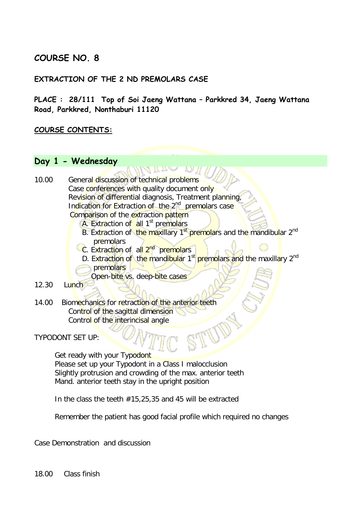# **COURSE NO. 8**

#### **EXTRACTION OF THE 2 ND PREMOLARS CASE**

**PLACE : 28/111 Top of Soi Jaeng Wattana – Parkkred 34, Jaeng Wattana Road, Parkkred, Nonthaburi 11120** 

#### **COURSE CONTENTS:**

### **Day 1 - Wednesday**

10.00 General discussion of technical problems Case conferences with quality document only Revision of differential diagnosis, Treatment planning, Indication for Extraction of the 2<sup>nd</sup> premolars case Comparison of the extraction pattern

- A. Extraction of all 1<sup>st</sup> premolars
- B. Extraction of the maxillary 1<sup>st</sup> premolars and the mandibular 2<sup>nd</sup> premolars
- C. Extraction of all 2<sup>nd</sup> premolars
- D. Extraction of the mandibular 1<sup>st</sup> premolars and the maxillary 2<sup>nd</sup>
- premolars
	- Open-bite vs. deep-bite cases
- 12.30 Lunch
- 14.00 Biomechanics for retraction of the anterior teeth Control of the sagittal dimension Control of the interincisal angle

TYPODONT SET UP:

Get ready with your Typodont Please set up your Typodont in a Class I malocclusion Slightly protrusion and crowding of the max. anterior teeth Mand. anterior teeth stay in the upright position

In the class the teeth #15,25,35 and 45 will be extracted

Remember the patient has good facial profile which required no changes

Case Demonstration and discussion